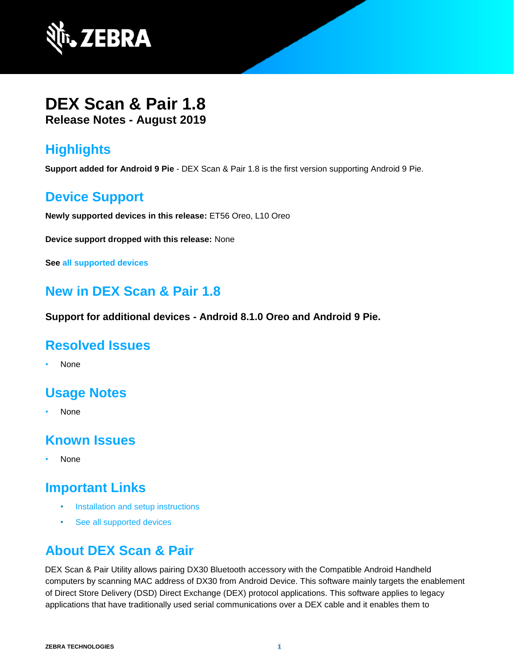

## **DEX Scan & Pair 1.8 Release Notes - August 2019**

# **Highlights**

**Support added for Android 9 Pie** - DEX Scan & Pair 1.8 is the first version supporting Android 9 Pie.

### **Device Support**

**Newly supported devices in this release:** ET56 Oreo, L10 Oreo

**Device support dropped with this release:** None

**See [all supported devices](http://techdocs.zebra.com/dex-scanpair/1-8/guide/about/#supporteddevices)**

### **New in DEX Scan & Pair 1.8**

**Support for additional devices - Android 8.1.0 Oreo and Android 9 Pie.**

#### **Resolved Issues**

• None

## **Usage Notes**

• None

### **Known Issues**

• None

## **Important Links**

- [Installation and setup](http://techdocs.zebra.com/dex-scanpair/1-8/guide/install/) instructions
- [See all supported devices](http://techdocs.zebra.com/dex-scanpair/1-8/guide/about/#supporteddevices)

### **About DEX Scan & Pair**

DEX Scan & Pair Utility allows pairing DX30 Bluetooth accessory with the Compatible Android Handheld computers by scanning MAC address of DX30 from Android Device. This software mainly targets the enablement of Direct Store Delivery (DSD) Direct Exchange (DEX) protocol applications. This software applies to legacy applications that have traditionally used serial communications over a DEX cable and it enables them to